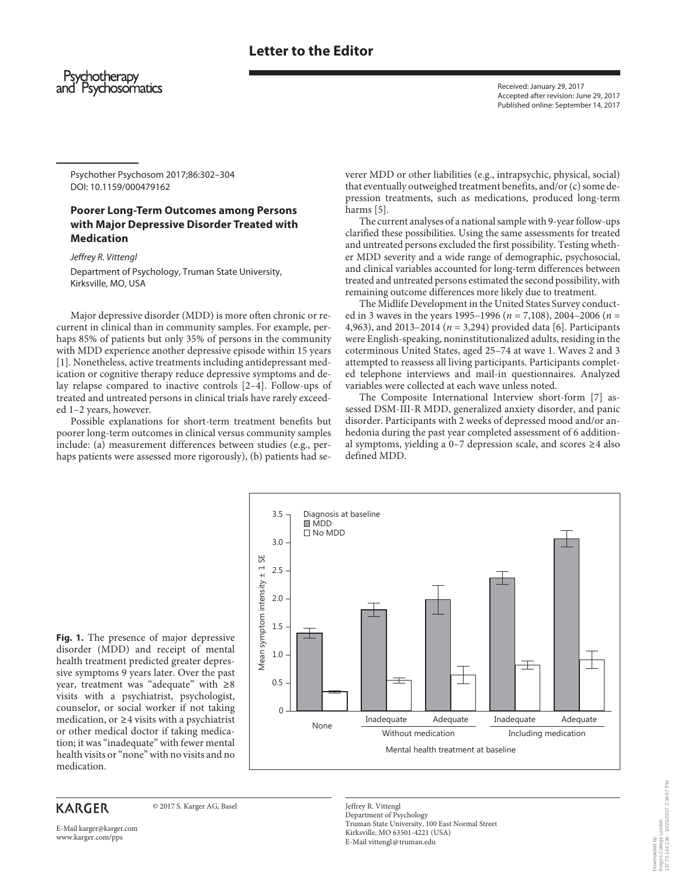# **Letter to the Editor**

### Psychotherapy and Psychosomatics

 Received: January 29, 2017 Accepted after revision: June 29, 2017 Published online: September 14, 2017

 Psychother Psychosom 2017;86:302–304 DOI: 10.1159/000479162

## **Poorer Long-Term Outcomes among Persons with Major Depressive Disorder Treated with Medication**

Jeffrey R. Vittengl

 Department of Psychology, Truman State University, Kirksville, MO, USA

 Major depressive disorder (MDD) is more often chronic or recurrent in clinical than in community samples. For example, perhaps 85% of patients but only 35% of persons in the community with MDD experience another depressive episode within 15 years [1]. Nonetheless, active treatments including antidepressant medication or cognitive therapy reduce depressive symptoms and delay relapse compared to inactive controls [2-4]. Follow-ups of treated and untreated persons in clinical trials have rarely exceeded 1–2 years, however.

 Possible explanations for short-term treatment benefits but poorer long-term outcomes in clinical versus community samples include: (a) measurement differences between studies (e.g., perhaps patients were assessed more rigorously), (b) patients had severer MDD or other liabilities (e.g., intrapsychic, physical, social) that eventually outweighed treatment benefits, and/or (c) some depression treatments, such as medications, produced long-term harms [5].

 The current analyses of a national sample with 9-year follow-ups clarified these possibilities. Using the same assessments for treated and untreated persons excluded the first possibility. Testing whether MDD severity and a wide range of demographic, psychosocial, and clinical variables accounted for long-term differences between treated and untreated persons estimated the second possibility, with remaining outcome differences more likely due to treatment.

 The Midlife Development in the United States Survey conducted in 3 waves in the years 1995–1996 ( $n = 7,108$ ), 2004–2006 ( $n =$ 4,963), and 2013–2014 ( $n = 3,294$ ) provided data [6]. Participants were English-speaking, noninstitutionalized adults, residing in the coterminous United States, aged 25–74 at wave 1. Waves 2 and 3 attempted to reassess all living participants. Participants completed telephone interviews and mail-in questionnaires. Analyzed variables were collected at each wave unless noted.

 The Composite International Interview short-form [7] assessed DSM-III-R MDD, generalized anxiety disorder, and panic disorder. Participants with 2 weeks of depressed mood and/or anhedonia during the past year completed assessment of 6 additional symptoms, yielding a 0–7 depression scale, and scores  $\geq 4$  also defined MDD.

 $3.5 -$  Diagnosis at baseline ■ MDD ଶ No MDD 3.0 Mean symptom intensity ± 1 SE Mean symptom intensity ± 1 SE 2.5 2.0 1.5 1.0 0.5  $\Omega$ Inadequate None Adequate Inadequate Adequate Without medication Including medication Mental health treatment at baseline

**Fig. 1.** The presence of major depressive disorder (MDD) and receipt of mental health treatment predicted greater depressive symptoms 9 years later. Over the past year, treatment was "adequate" with ≥ 8 visits with a psychiatrist, psychologist, counselor, or social worker if not taking medication, or ≥ 4 visits with a psychiatrist or other medical doctor if taking medication; it was "inadequate" with fewer mental health visits or "none" with no visits and no medication.

## **KARGER**

© 2017 S. Karger AG, Basel

 Jeffrey R. Vittengl Department of Psychology Truman State University, 100 East Normal Street Kirksville, MO 63501-4221 (USA) E-Mail vittengl @ truman.edu

E-Mail karger@karger.com www.karger.com/pps

Kings's College London<br>137.73.144.138 - 10/25/2017 2:34:57 PM 137.73.144.138 - 10/25/2017 2:34:57 PMKings's College London Downloaded by: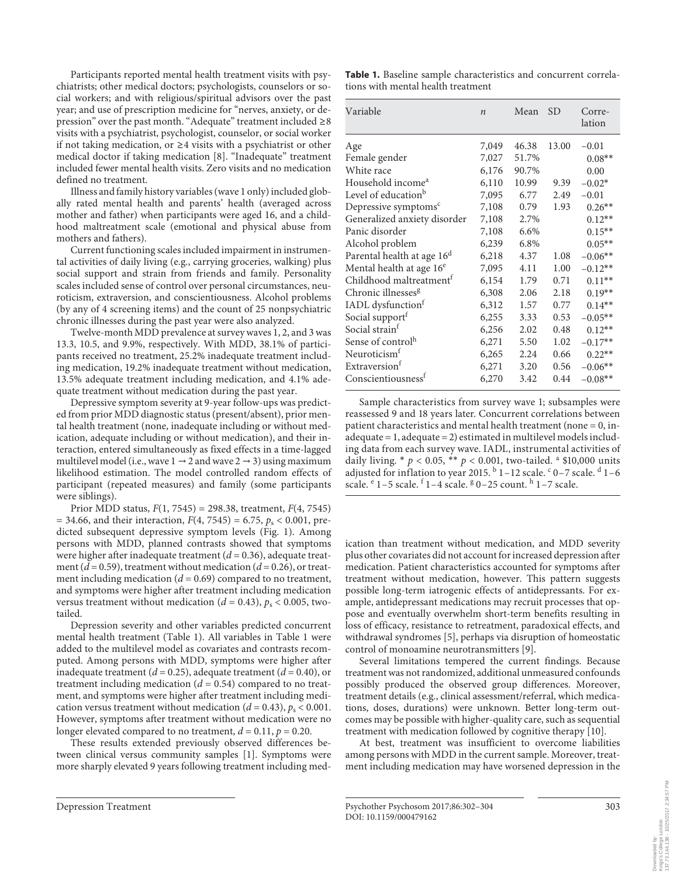Participants reported mental health treatment visits with psychiatrists; other medical doctors; psychologists, counselors or social workers; and with religious/spiritual advisors over the past year; and use of prescription medicine for "nerves, anxiety, or depression" over the past month. "Adequate" treatment included ≥ 8 visits with a psychiatrist, psychologist, counselor, or social worker if not taking medication, or ≥4 visits with a psychiatrist or other medical doctor if taking medication [8] . "Inadequate" treatment included fewer mental health visits. Zero visits and no medication defined no treatment.

 Illness and family history variables (wave 1 only) included globally rated mental health and parents' health (averaged across mother and father) when participants were aged 16, and a childhood maltreatment scale (emotional and physical abuse from mothers and fathers).

 Current functioning scales included impairment in instrumental activities of daily living (e.g., carrying groceries, walking) plus social support and strain from friends and family. Personality scales included sense of control over personal circumstances, neuroticism, extraversion, and conscientiousness. Alcohol problems (by any of 4 screening items) and the count of 25 nonpsychiatric chronic illnesses during the past year were also analyzed.

 Twelve-month MDD prevalence at survey waves 1, 2, and 3 was 13.3, 10.5, and 9.9%, respectively. With MDD, 38.1% of participants received no treatment, 25.2% inadequate treatment including medication, 19.2% inadequate treatment without medication, 13.5% adequate treatment including medication, and 4.1% adequate treatment without medication during the past year.

 Depressive symptom severity at 9-year follow-ups was predicted from prior MDD diagnostic status (present/absent), prior mental health treatment (none, inadequate including or without medication, adequate including or without medication), and their interaction, entered simultaneously as fixed effects in a time-lagged multilevel model (i.e., wave  $1 \rightarrow 2$  and wave  $2 \rightarrow 3$ ) using maximum likelihood estimation. The model controlled random effects of participant (repeated measures) and family (some participants were siblings).

Prior MDD status,  $F(1, 7545) = 298.38$ , treatment,  $F(4, 7545)$  $= 34.66$ , and their interaction,  $F(4, 7545) = 6.75$ ,  $p_s < 0.001$ , predicted subsequent depressive symptom levels (Fig. 1). Among persons with MDD, planned contrasts showed that symptoms were higher after inadequate treatment  $(d = 0.36)$ , adequate treatment ( $d = 0.59$ ), treatment without medication ( $d = 0.26$ ), or treatment including medication  $(d = 0.69)$  compared to no treatment, and symptoms were higher after treatment including medication versus treatment without medication ( $d = 0.43$ ),  $p_s < 0.005$ , twotailed.

 Depression severity and other variables predicted concurrent mental health treatment (Table 1). All variables in Table 1 were added to the multilevel model as covariates and contrasts recomputed. Among persons with MDD, symptoms were higher after inadequate treatment ( $d = 0.25$ ), adequate treatment ( $d = 0.40$ ), or treatment including medication  $(d = 0.54)$  compared to no treatment, and symptoms were higher after treatment including medication versus treatment without medication ( $d = 0.43$ ),  $p_s < 0.001$ . However, symptoms after treatment without medication were no longer elevated compared to no treatment,  $d = 0.11$ ,  $p = 0.20$ .

 These results extended previously observed differences between clinical versus community samples [1]. Symptoms were more sharply elevated 9 years following treatment including med-

**Table 1.** Baseline sample characteristics and concurrent correlations with mental health treatment

| Variable                               | $\boldsymbol{n}$ | Mean  | <b>SD</b> | Corre-<br>lation |
|----------------------------------------|------------------|-------|-----------|------------------|
| Age                                    | 7,049            | 46.38 | 13.00     | $-0.01$          |
| Female gender                          | 7,027            | 51.7% |           | $0.08**$         |
| White race                             | 6,176            | 90.7% |           | 0.00             |
| Household income <sup>a</sup>          | 6,110            | 10.99 | 9.39      | $-0.02*$         |
| Level of education <sup>b</sup>        | 7,095            | 6.77  | 2.49      | $-0.01$          |
| Depressive symptoms <sup>c</sup>       | 7,108            | 0.79  | 1.93      | $0.26**$         |
| Generalized anxiety disorder           | 7,108            | 2.7%  |           | $0.12**$         |
| Panic disorder                         | 7,108            | 6.6%  |           | $0.15***$        |
| Alcohol problem                        | 6,239            | 6.8%  |           | $0.05**$         |
| Parental health at age 16 <sup>d</sup> | 6,218            | 4.37  | 1.08      | $-0.06**$        |
| Mental health at age 16 <sup>e</sup>   | 7,095            | 4.11  | 1.00      | $-0.12**$        |
| Childhood maltreatment <sup>f</sup>    | 6,154            | 1.79  | 0.71      | $0.11**$         |
| Chronic illnesses <sup>g</sup>         | 6,308            | 2.06  | 2.18      | $0.19**$         |
| IADL dysfunction <sup>f</sup>          | 6,312            | 1.57  | 0.77      | $0.14**$         |
| Social support <sup>f</sup>            | 6,255            | 3.33  | 0.53      | $-0.05**$        |
| Social strain <sup>f</sup>             | 6,256            | 2.02  | 0.48      | $0.12**$         |
| Sense of control <sup>h</sup>          | 6,271            | 5.50  | 1.02      | $-0.17**$        |
| Neuroticism <sup>f</sup>               | 6,265            | 2.24  | 0.66      | $0.22**$         |
| Extraversion <sup>t</sup>              | 6,271            | 3.20  | 0.56      | $-0.06**$        |
| Conscientiousness <sup>t</sup>         | 6,270            | 3.42  | 0.44      | $-0.08**$        |

 Sample characteristics from survey wave 1; subsamples were reassessed 9 and 18 years later. Concurrent correlations between patient characteristics and mental health treatment (none = 0, inadequate = 1, adequate = 2) estimated in multilevel models including data from each survey wave. IADL, instrumental activities of daily living.  $* p < 0.05$ ,  $** p < 0.001$ , two-tailed. <sup>a</sup> \$10,000 units adjusted for inflation to year 2015.  $\frac{b}{1-12}$  scale.  $\frac{c}{1-7}$  scale.  $\frac{d}{1-6}$ scale. <sup>e</sup> 1-5 scale. <sup>f</sup> 1-4 scale. <sup>g</sup> 0-25 count. <sup>h</sup> 1-7 scale.

ication than treatment without medication, and MDD severity plus other covariates did not account for increased depression after medication. Patient characteristics accounted for symptoms after treatment without medication, however. This pattern suggests possible long-term iatrogenic effects of antidepressants. For example, antidepressant medications may recruit processes that oppose and eventually overwhelm short-term benefits resulting in loss of efficacy, resistance to retreatment, paradoxical effects, and withdrawal syndromes [5], perhaps via disruption of homeostatic control of monoamine neurotransmitters [9].

 Several limitations tempered the current findings. Because treatment was not randomized, additional unmeasured confounds possibly produced the observed group differences. Moreover, treatment details (e.g., clinical assessment/referral, which medications, doses, durations) were unknown. Better long-term outcomes may be possible with higher-quality care, such as sequential treatment with medication followed by cognitive therapy [10] .

 At best, treatment was insufficient to overcome liabilities among persons with MDD in the current sample. Moreover, treatment including medication may have worsened depression in the